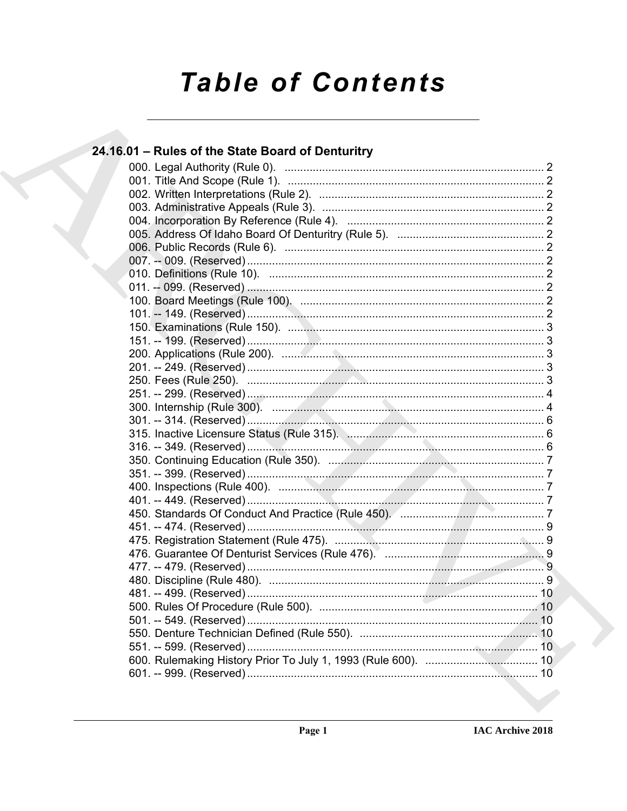# **Table of Contents**

## 24.16.01 – Rules of the State Board of Denturitry 315. Inactive Licensure Status (Rule 315). Manhamman Manhamman 6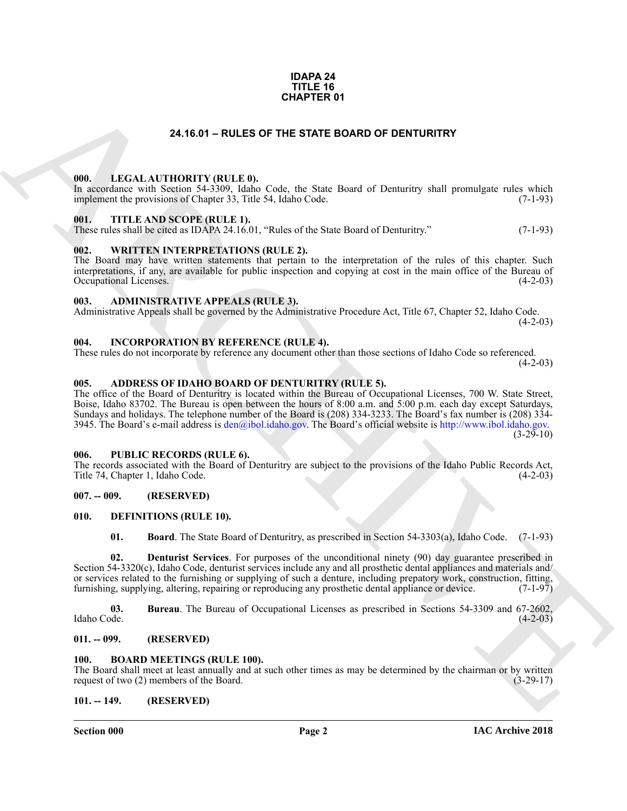#### **IDAPA 24 TITLE 16 CHAPTER 01**

#### **24.16.01 – RULES OF THE STATE BOARD OF DENTURITRY**

#### <span id="page-1-22"></span><span id="page-1-1"></span><span id="page-1-0"></span>**000. LEGAL AUTHORITY (RULE 0).**

In accordance with Section 54-3309, Idaho Code, the State Board of Denturitry shall promulgate rules which implement the provisions of Chapter 33, Title 54, Idaho Code. (7-1-93)

#### <span id="page-1-24"></span><span id="page-1-2"></span>**001. TITLE AND SCOPE (RULE 1).**

These rules shall be cited as IDAPA 24.16.01, "Rules of the State Board of Denturitry." (7-1-93)

#### <span id="page-1-25"></span><span id="page-1-3"></span>**002. WRITTEN INTERPRETATIONS (RULE 2).**

The Board may have written statements that pertain to the interpretation of the rules of this chapter. Such interpretations, if any, are available for public inspection and copying at cost in the main office of the Bureau of Occupational Licenses.

#### <span id="page-1-14"></span><span id="page-1-4"></span>**003. ADMINISTRATIVE APPEALS (RULE 3).**

Administrative Appeals shall be governed by the Administrative Procedure Act, Title 67, Chapter 52, Idaho Code.  $(4-2-03)$ 

#### <span id="page-1-21"></span><span id="page-1-5"></span>**004. INCORPORATION BY REFERENCE (RULE 4).**

These rules do not incorporate by reference any document other than those sections of Idaho Code so referenced.  $(4-2-03)$ 

#### <span id="page-1-13"></span><span id="page-1-6"></span>**005. ADDRESS OF IDAHO BOARD OF DENTURITRY (RULE 5).**

**[CH](mailto:den@ibol.idaho.gov)APTER 01**<br> **CHARCHIVE CONTROLLY** (BALLER) CASE the SIME BOARD OF DEMTURITRY<br> **CHARCHIVE CONTROLLY** (BALLER) CASE the SIME USE of Demturity that promines raised the<br> **CHARCHIVE CONTROLLY** (BALLER) CASE (EVALUATED)<br>
THE The office of the Board of Denturitry is located within the Bureau of Occupational Licenses, 700 W. State Street, Boise, Idaho 83702. The Bureau is open between the hours of 8:00 a.m. and 5:00 p.m. each day except Saturdays, Sundays and holidays. The telephone number of the Board is (208) 334-3233. The Board's fax number is (208) 334- 3945. The Board's e-mail address is  $den@ibol.idaho.gov$ . The Board's official website is http://www.ibol.idaho.gov.  $(3-29-10)$ 

#### <span id="page-1-23"></span><span id="page-1-7"></span>**006. PUBLIC RECORDS (RULE 6).**

The records associated with the Board of Denturitry are subject to the provisions of the Idaho Public Records Act, Title 74, Chapter 1, Idaho Code. (4-2-03)

#### <span id="page-1-8"></span>**007. -- 009. (RESERVED)**

#### <span id="page-1-9"></span>**010. DEFINITIONS (RULE 10).**

<span id="page-1-20"></span><span id="page-1-19"></span><span id="page-1-18"></span><span id="page-1-17"></span>**01. Board**. The State Board of Denturitry, as prescribed in Section 54-3303(a), Idaho Code. (7-1-93)

**02. Denturist Services**. For purposes of the unconditional ninety (90) day guarantee prescribed in Section 54-3320(c), Idaho Code, denturist services include any and all prosthetic dental appliances and materials and/ or services related to the furnishing or supplying of such a denture, including prepatory work, construction, fitting, furnishing, supplying, altering, repairing or reproducing any prosthetic dental appliance or device. (7-1-97)

**03.** Bureau. The Bureau of Occupational Licenses as prescribed in Sections 54-3309 and 67-2602, Idaho Code. (4-2-03) Idaho Code. (4-2-03)

#### <span id="page-1-10"></span>**011. -- 099. (RESERVED)**

#### <span id="page-1-16"></span><span id="page-1-15"></span><span id="page-1-11"></span>**100. BOARD MEETINGS (RULE 100).**

The Board shall meet at least annually and at such other times as may be determined by the chairman or by written request of two (2) members of the Board. (3-29-17)

#### <span id="page-1-12"></span>**101. -- 149. (RESERVED)**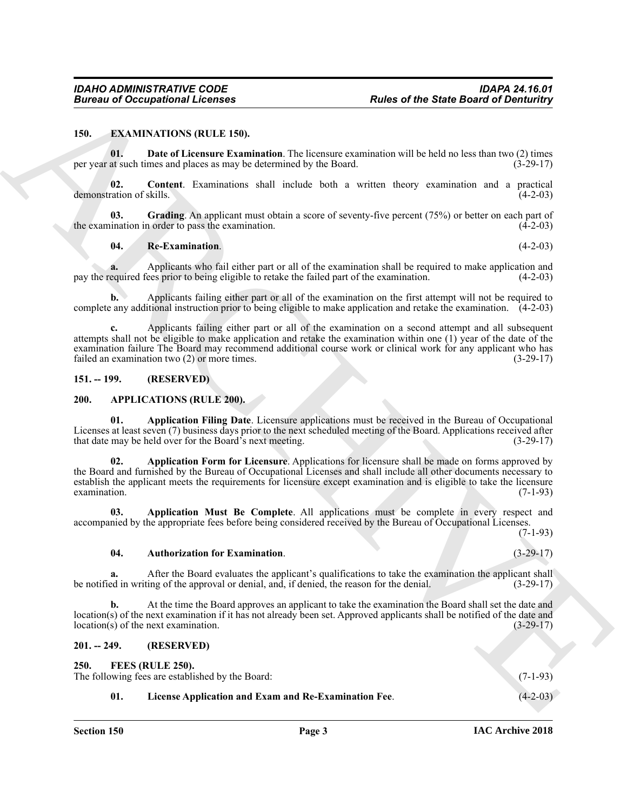#### <span id="page-2-9"></span><span id="page-2-0"></span>**150. EXAMINATIONS (RULE 150).**

<span id="page-2-11"></span>**01. Date of Licensure Examination**. The licensure examination will be held no less than two (2) times per year at such times and places as may be determined by the Board. (3-29-17)

<span id="page-2-10"></span>**02. Content**. Examinations shall include both a written theory examination and a practical demonstration of skills. (4-2-03)

**03.** Grading. An applicant must obtain a score of seventy-five percent (75%) or better on each part of ination in order to pass the examination. (4-2-03) the examination in order to pass the examination.

#### <span id="page-2-13"></span><span id="page-2-12"></span>**04. Re-Examination**. (4-2-03)

**a.** Applicants who fail either part or all of the examination shall be required to make application and equired fees prior to being eligible to retake the failed part of the examination. (4-2-03) pay the required fees prior to being eligible to retake the failed part of the examination.

**b.** Applicants failing either part or all of the examination on the first attempt will not be required to complete any additional instruction prior to being eligible to make application and retake the examination. (4-2-03)

**c.** Applicants failing either part or all of the examination on a second attempt and all subsequent attempts shall not be eligible to make application and retake the examination within one (1) year of the date of the examination failure The Board may recommend additional course work or clinical work for any applicant who has failed an examination two (2) or more times. (3-29-17)

#### <span id="page-2-5"></span><span id="page-2-1"></span>**151. -- 199. (RESERVED)**

#### <span id="page-2-2"></span>**200. APPLICATIONS (RULE 200).**

<span id="page-2-7"></span><span id="page-2-6"></span>**01. Application Filing Date**. Licensure applications must be received in the Bureau of Occupational Licenses at least seven (7) business days prior to the next scheduled meeting of the Board. Applications received after that date may be held over for the Board's next meeting. (3-29-17)

Bureau of Occupational Licensies<br>
150. EXAMPATION ROWLESS, Readers of the State Board of Deminitry<br>
150. E. Due of Licensies Examination Tax income commission will be haddled to be a<br>
171. Due of Licensies Examination Tax **02. Application Form for Licensure**. Applications for licensure shall be made on forms approved by the Board and furnished by the Bureau of Occupational Licenses and shall include all other documents necessary to establish the applicant meets the requirements for licensure except examination and is eligible to take the licensure examination. (7-1-93)  $\alpha$  examination. (7-1-93)

**03. Application Must Be Complete**. All applications must be complete in every respect and accompanied by the appropriate fees before being considered received by the Bureau of Occupational Licenses. (7-1-93)

#### <span id="page-2-8"></span>**04. Authorization for Examination**. (3-29-17)

**a.** After the Board evaluates the applicant's qualifications to take the examination the applicant shall ed in writing of the approval or denial, and, if denied, the reason for the denial. (3-29-17) be notified in writing of the approval or denial, and, if denied, the reason for the denial.

**b.** At the time the Board approves an applicant to take the examination the Board shall set the date and location(s) of the next examination if it has not already been set. Approved applicants shall be notified of the date and location(s) of the next examination.  $(3-29-17)$  $location(s)$  of the next examination.

#### <span id="page-2-3"></span>**201. -- 249. (RESERVED)**

<span id="page-2-15"></span><span id="page-2-14"></span>**250. FEES (RULE 250).**

<span id="page-2-4"></span>

| 250. L                                           | FEES (RULE 250).                                     |            |  |  |
|--------------------------------------------------|------------------------------------------------------|------------|--|--|
| The following fees are established by the Board: |                                                      |            |  |  |
|                                                  | License Application and Exam and Re-Examination Fee. | $(4-2-03)$ |  |  |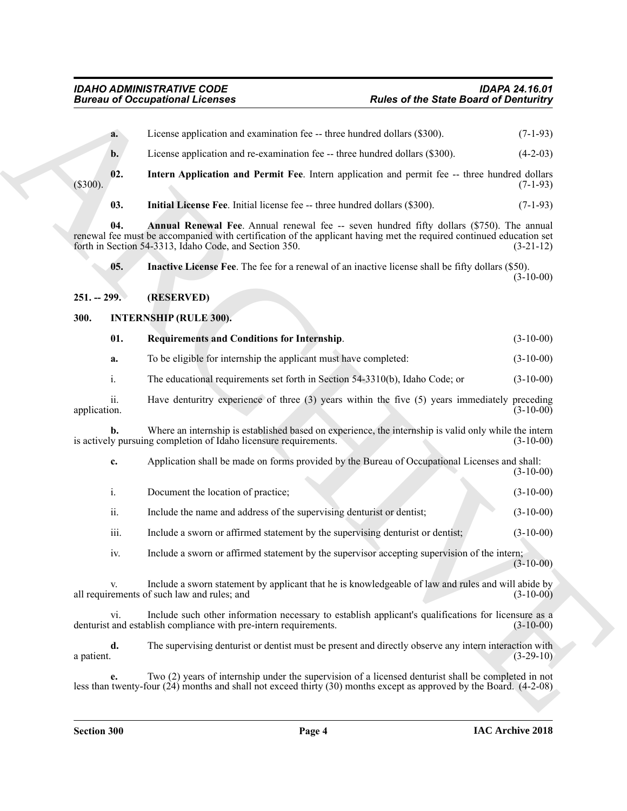<span id="page-3-7"></span><span id="page-3-6"></span><span id="page-3-5"></span><span id="page-3-4"></span><span id="page-3-3"></span><span id="page-3-2"></span><span id="page-3-1"></span><span id="page-3-0"></span>**Eurons of Occupational Licensies**<br> **ARCHIVE STATE ART (ANDERS CONTRACT ART (ANDERS)**<br> **ARCHIVE STATE ART (ANDERS CONTRACT ART (ANDERS)**<br> **ARCHIVE STATE ART (ANDERS CONTRACT ART (ANDERS)**<br> **ARCHIVE STATE ART (ANDERS CONTR a.** License application and examination fee -- three hundred dollars (\$300). (7-1-93) **b.** License application and re-examination fee -- three hundred dollars (\$300). (4-2-03) **02. Intern Application and Permit Fee**. Intern application and permit fee -- three hundred dollars (\$300). (7-1-93) **03.** Initial License Fee. Initial license fee -- three hundred dollars (\$300). (7-1-93) **04.** Annual Renewal Fee. Annual renewal fee -- seven hundred fifty dollars (\$750). The annual renewal fee must be accompanied with certification of the applicant having met the required continued education set forth in Section 54-3313, Idaho Code, and Section 350. (3-21-12) forth in Section 54-3313, Idaho Code, and Section 350. **05. Inactive License Fee**. The fee for a renewal of an inactive license shall be fifty dollars (\$50).  $(3-10-00)$ **251. -- 299. (RESERVED) 300. INTERNSHIP (RULE 300). 01. Requirements and Conditions for Internship**. (3-10-00) **a.** To be eligible for internship the applicant must have completed: (3-10-00) i. The educational requirements set forth in Section 54-3310(b), Idaho Code; or (3-10-00) ii. Have denturitry experience of three (3) years within the five (5) years immediately preceding application. (3-10-00) application. (3-10-00) **b.** Where an internship is established based on experience, the internship is valid only while the intern is actively pursuing completion of Idaho licensure requirements. (3-10-00) **c.** Application shall be made on forms provided by the Bureau of Occupational Licenses and shall: (3-10-00) i. Document the location of practice; (3-10-00) ii. Include the name and address of the supervising denturist or dentist; (3-10-00) iii. Include a sworn or affirmed statement by the supervising denturist or dentist;  $(3-10-00)$ iv. Include a sworn or affirmed statement by the supervisor accepting supervision of the intern;  $(3-10-00)$ Include a sworn statement by applicant that he is knowledgeable of law and rules and will abide by all requirements of such law and rules; and (3-10-00) vi. Include such other information necessary to establish applicant's qualifications for licensure as a and establish compliance with pre-intern requirements. (3-10-00) denturist and establish compliance with pre-intern requirements. **d.** The supervising denturist or dentist must be present and directly observe any intern interaction with a patient.  $(3-29-10)$ 

**e.** Two (2) years of internship under the supervision of a licensed denturist shall be completed in not less than twenty-four (24) months and shall not exceed thirty (30) months except as approved by the Board. (4-2-08)

a patient.  $(3-29-10)$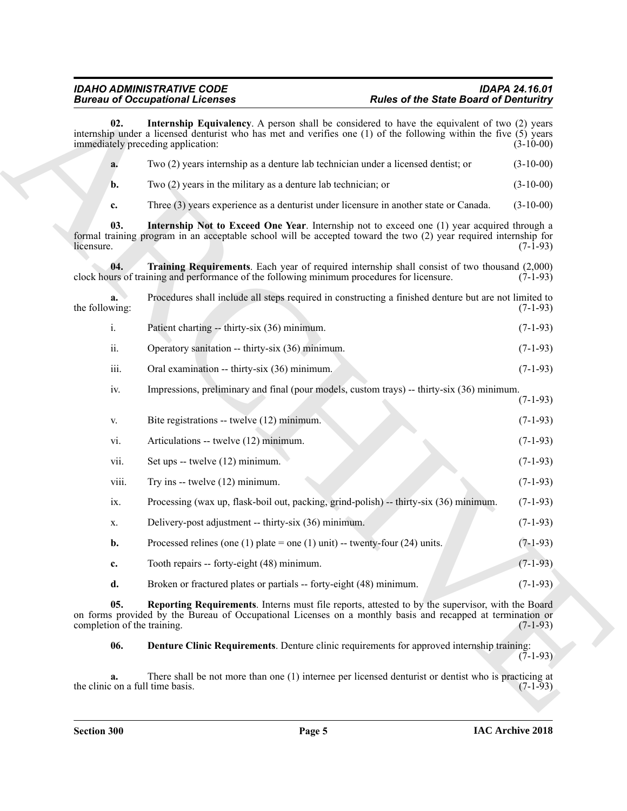<span id="page-4-4"></span><span id="page-4-2"></span><span id="page-4-1"></span>Bureau and Concerning Licensins<br>
and Concerning Licensins Applications (A posses shall be received as for each Sink of Dietariology and the state of the Sink of Dietariology and the state of the Sink of Dietariology and t **02. Internship Equivalency**. A person shall be considered to have the equivalent of two (2) years internship under a licensed denturist who has met and verifies one (1) of the following within the five (5) years immediately preceding application: (3-10-00) **a.** Two (2) years internship as a denture lab technician under a licensed dentist; or (3-10-00) **b.** Two (2) years in the military as a denture lab technician; or (3-10-00) **c.** Three (3) years experience as a denturist under licensure in another state or Canada. (3-10-00) **03. Internship Not to Exceed One Year**. Internship not to exceed one (1) year acquired through a formal training program in an acceptable school will be accepted toward the two (2) year required internship for  $l$  licensure. (7-1-93) **04. Training Requirements**. Each year of required internship shall consist of two thousand (2,000) clock hours of training and performance of the following minimum procedures for licensure. **a.** Procedures shall include all steps required in constructing a finished denture but are not limited to the following:  $(7-1-93)$ i. Patient charting -- thirty-six (36) minimum. (7-1-93) ii. Operatory sanitation -- thirty-six (36) minimum. (7-1-93) iii. Oral examination -- thirty-six (36) minimum. (7-1-93) iv. Impressions, preliminary and final (pour models, custom trays) -- thirty-six (36) minimum. (7-1-93) v. Bite registrations -- twelve (12) minimum. (7-1-93) vi. Articulations -- twelve (12) minimum. (7-1-93) vii. Set ups -- twelve  $(12)$  minimum. (7-1-93) viii. Try ins -- twelve  $(12)$  minimum. (7-1-93) ix. Processing (wax up, flask-boil out, packing, grind-polish) -- thirty-six (36) minimum. (7-1-93) x. Delivery-post adjustment -- thirty-six (36) minimum. (7-1-93) **b.** Processed relines (one (1) plate = one (1) unit) -- twenty-four (24) units.  $(7-1-93)$ **c.** Tooth repairs -- forty-eight (48) minimum. (7-1-93) **d.** Broken or fractured plates or partials -- forty-eight (48) minimum. (7-1-93)

**05. Reporting Requirements**. Interns must file reports, attested to by the supervisor, with the Board on forms provided by the Bureau of Occupational Licenses on a monthly basis and recapped at termination or completion of the training. (7-1-93) completion of the training.

<span id="page-4-3"></span><span id="page-4-0"></span>**06. Denture Clinic Requirements**. Denture clinic requirements for approved internship training:  $(7-1-93)$ 

**a.** There shall be not more than one (1) internee per licensed denturist or dentist who is practicing at  $\cos$  (7-1-93) the clinic on a full time basis.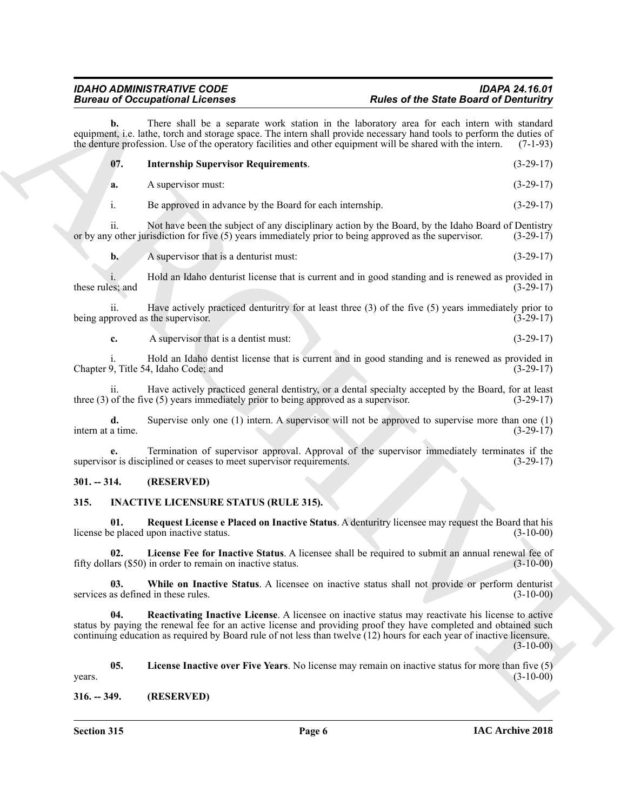<span id="page-5-9"></span>

|                         | <b>Bureau of Occupational Licenses</b>                                                                                                                                              | <b>Rules of the State Board of Denturitry</b>                                                                                                                                                                                                                                                                                                                  |  |  |
|-------------------------|-------------------------------------------------------------------------------------------------------------------------------------------------------------------------------------|----------------------------------------------------------------------------------------------------------------------------------------------------------------------------------------------------------------------------------------------------------------------------------------------------------------------------------------------------------------|--|--|
| b.                      |                                                                                                                                                                                     | There shall be a separate work station in the laboratory area for each intern with standard<br>equipment, i.e. lathe, torch and storage space. The intern shall provide necessary hand tools to perform the duties of<br>the denture profession. Use of the operatory facilities and other equipment will be shared with the intern.<br>$(7-1-93)$             |  |  |
| 07.                     | <b>Internship Supervisor Requirements.</b>                                                                                                                                          | $(3-29-17)$                                                                                                                                                                                                                                                                                                                                                    |  |  |
| a.                      | A supervisor must:                                                                                                                                                                  | $(3-29-17)$                                                                                                                                                                                                                                                                                                                                                    |  |  |
| i.                      | Be approved in advance by the Board for each internship.                                                                                                                            | $(3-29-17)$                                                                                                                                                                                                                                                                                                                                                    |  |  |
| ii.                     |                                                                                                                                                                                     | Not have been the subject of any disciplinary action by the Board, by the Idaho Board of Dentistry<br>or by any other jurisdiction for five (5) years immediately prior to being approved as the supervisor.<br>$(3-29-17)$                                                                                                                                    |  |  |
| $\mathbf{b}$ .          | A supervisor that is a denturist must:                                                                                                                                              | $(3-29-17)$                                                                                                                                                                                                                                                                                                                                                    |  |  |
| these rules; and        |                                                                                                                                                                                     | Hold an Idaho denturist license that is current and in good standing and is renewed as provided in<br>$(3-29-17)$                                                                                                                                                                                                                                              |  |  |
| ii.                     | being approved as the supervisor.                                                                                                                                                   | Have actively practiced denturity for at least three $(3)$ of the five $(5)$ years immediately prior to<br>$(3-29-17)$                                                                                                                                                                                                                                         |  |  |
| c.                      | A supervisor that is a dentist must:                                                                                                                                                | $(3-29-17)$                                                                                                                                                                                                                                                                                                                                                    |  |  |
|                         | Chapter 9, Title 54, Idaho Code; and                                                                                                                                                | Hold an Idaho dentist license that is current and in good standing and is renewed as provided in<br>$(3-29-17)$                                                                                                                                                                                                                                                |  |  |
| 11.                     | three $(3)$ of the five $(5)$ years immediately prior to being approved as a supervisor.                                                                                            | Have actively practiced general dentistry, or a dental specialty accepted by the Board, for at least<br>$(3-29-17)$                                                                                                                                                                                                                                            |  |  |
| d.<br>intern at a time. |                                                                                                                                                                                     | Supervise only one $(1)$ intern. A supervisor will not be approved to supervise more than one $(1)$<br>$(3-29-17)$                                                                                                                                                                                                                                             |  |  |
|                         | Termination of supervisor approval. Approval of the supervisor immediately terminates if the<br>supervisor is disciplined or ceases to meet supervisor requirements.<br>$(3-29-17)$ |                                                                                                                                                                                                                                                                                                                                                                |  |  |
| $301. - 314.$           | (RESERVED)                                                                                                                                                                          |                                                                                                                                                                                                                                                                                                                                                                |  |  |
| 315.                    | <b>INACTIVE LICENSURE STATUS (RULE 315).</b>                                                                                                                                        |                                                                                                                                                                                                                                                                                                                                                                |  |  |
| 01.                     | license be placed upon inactive status.                                                                                                                                             | Request License e Placed on Inactive Status. A denturitry licensee may request the Board that his<br>$(3-10-00)$                                                                                                                                                                                                                                               |  |  |
|                         | fifty dollars (\$50) in order to remain on inactive status.                                                                                                                         | License Fee for Inactive Status. A licensee shall be required to submit an annual renewal fee of<br>$(3-10-00)$                                                                                                                                                                                                                                                |  |  |
| 03.                     | services as defined in these rules.                                                                                                                                                 | While on Inactive Status. A licensee on inactive status shall not provide or perform denturist<br>$(3-10-00)$                                                                                                                                                                                                                                                  |  |  |
| 04.                     |                                                                                                                                                                                     | Reactivating Inactive License. A licensee on inactive status may reactivate his license to active<br>status by paying the renewal fee for an active license and providing proof they have completed and obtained such<br>continuing education as required by Board rule of not less than twelve (12) hours for each year of inactive licensure.<br>$(3-10-00)$ |  |  |
| 05.<br>years.           |                                                                                                                                                                                     | License Inactive over Five Years. No license may remain on inactive status for more than five (5)<br>$(3-10-00)$                                                                                                                                                                                                                                               |  |  |
| $316. - 349.$           | (RESERVED)                                                                                                                                                                          |                                                                                                                                                                                                                                                                                                                                                                |  |  |

### <span id="page-5-0"></span>**301. -- 314. (RESERVED)**

#### <span id="page-5-8"></span><span id="page-5-7"></span><span id="page-5-6"></span><span id="page-5-4"></span><span id="page-5-3"></span><span id="page-5-1"></span>**315. INACTIVE LICENSURE STATUS (RULE 315).**

<span id="page-5-5"></span><span id="page-5-2"></span>**Section 315 Page 6**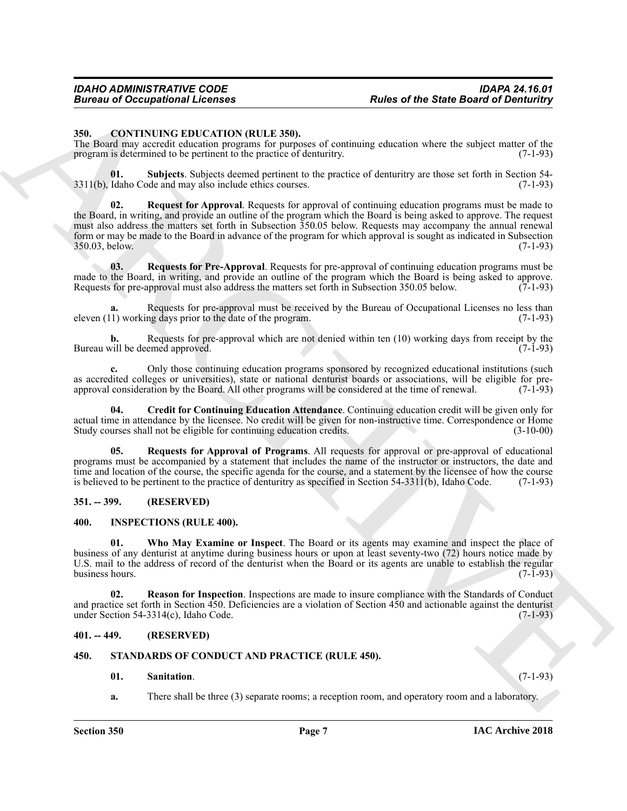#### <span id="page-6-5"></span><span id="page-6-0"></span>**350. CONTINUING EDUCATION (RULE 350).**

The Board may accredit education programs for purposes of continuing education where the subject matter of the program is determined to be pertinent to the practice of denturitry. (7-1-93)

<span id="page-6-10"></span><span id="page-6-7"></span>**01. Subjects**. Subjects deemed pertinent to the practice of denturitry are those set forth in Section 54-  $3311(b)$ , Idaho Code and may also include ethics courses.

Forces of Occupational Licenses<br>
State of the State Board of Demission<br>
State Contribute Contribute Contribute Contribute Contribute Contribute Contribute Contribute Contribute Contribute Contribute Contribute Contribute **02. Request for Approval**. Requests for approval of continuing education programs must be made to the Board, in writing, and provide an outline of the program which the Board is being asked to approve. The request must also address the matters set forth in Subsection 350.05 below. Requests may accompany the annual renewal form or may be made to the Board in advance of the program for which approval is sought as indicated in Subsection 350.03, below. (7-1-93) 350.03, below.

<span id="page-6-9"></span>**03. Requests for Pre-Approval**. Requests for pre-approval of continuing education programs must be made to the Board, in writing, and provide an outline of the program which the Board is being asked to approve.<br>Requests for pre-approval must also address the matters set forth in Subsection 350.05 below. (7-1-93) Requests for pre-approval must also address the matters set forth in Subsection 350.05 below.

**a.** Requests for pre-approval must be received by the Bureau of Occupational Licenses no less than eleven  $(11)$  working days prior to the date of the program. (7-1-93)

**b.** Requests for pre-approval which are not denied within ten (10) working days from receipt by the vill be deemed approved. (7-1-93) Bureau will be deemed approved.

**c.** Only those continuing education programs sponsored by recognized educational institutions (such as accredited colleges or universities), state or national denturist boards or associations, will be eligible for preapproval consideration by the Board. All other programs will be considered at the time of renewal. (7-1-93)

<span id="page-6-6"></span>**04. Credit for Continuing Education Attendance**. Continuing education credit will be given only for actual time in attendance by the licensee. No credit will be given for non-instructive time. Correspondence or Home<br>Study courses shall not be eligible for continuing education credits. (3-10-00) Study courses shall not be eligible for continuing education credits.

<span id="page-6-8"></span>**05. Requests for Approval of Programs**. All requests for approval or pre-approval of educational programs must be accompanied by a statement that includes the name of the instructor or instructors, the date and time and location of the course, the specific agenda for the course, and a statement by the licensee of how the course is believed to be pertinent to the practice of denturitry as specified in Section 54-3311(b), Idaho Code. (7-1-93)

#### <span id="page-6-1"></span>**351. -- 399. (RESERVED)**

#### <span id="page-6-13"></span><span id="page-6-11"></span><span id="page-6-2"></span>**400. INSPECTIONS (RULE 400).**

**01. Who May Examine or Inspect**. The Board or its agents may examine and inspect the place of business of any denturist at anytime during business hours or upon at least seventy-two (72) hours notice made by U.S. mail to the address of record of the denturist when the Board or its agents are unable to establish the regular business hours.  $(7-\overline{1}-93)$ 

<span id="page-6-12"></span>**02. Reason for Inspection**. Inspections are made to insure compliance with the Standards of Conduct and practice set forth in Section 450. Deficiencies are a violation of Section 450 and actionable against the denturist under Section 54-3314(c), Idaho Code.  $(7-1-93)$ 

#### <span id="page-6-3"></span>**401. -- 449. (RESERVED)**

#### <span id="page-6-4"></span>**450. STANDARDS OF CONDUCT AND PRACTICE (RULE 450).**

#### <span id="page-6-15"></span><span id="page-6-14"></span>**01. Sanitation**. (7-1-93)

**a.** There shall be three (3) separate rooms; a reception room, and operatory room and a laboratory.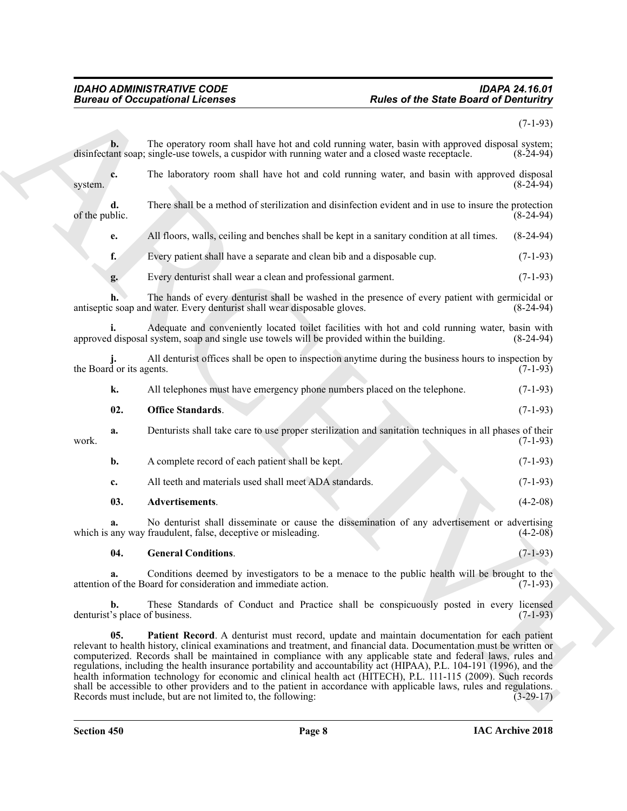#### <span id="page-7-3"></span><span id="page-7-2"></span><span id="page-7-1"></span><span id="page-7-0"></span>*IDAHO ADMINISTRATIVE CODE IDAPA 24.16.01 Bureau of Occupational Licenses Rules of the State Board of Denturitry*

|                                      | <b>Bureau of Occupational Licenses</b>                                                                                                                                                                                                                                                                                                                                                                                                                                                                                                                                                                                                                                                                                                                                  | <b>Rules of the State Board of Denturitry</b> |  |
|--------------------------------------|-------------------------------------------------------------------------------------------------------------------------------------------------------------------------------------------------------------------------------------------------------------------------------------------------------------------------------------------------------------------------------------------------------------------------------------------------------------------------------------------------------------------------------------------------------------------------------------------------------------------------------------------------------------------------------------------------------------------------------------------------------------------------|-----------------------------------------------|--|
|                                      |                                                                                                                                                                                                                                                                                                                                                                                                                                                                                                                                                                                                                                                                                                                                                                         | $(7-1-93)$                                    |  |
| $b$ .                                | The operatory room shall have hot and cold running water, basin with approved disposal system;<br>disinfectant soap; single-use towels, a cuspidor with running water and a closed waste receptacle.                                                                                                                                                                                                                                                                                                                                                                                                                                                                                                                                                                    | $(8-24-94)$                                   |  |
| c.<br>system.                        | The laboratory room shall have hot and cold running water, and basin with approved disposal                                                                                                                                                                                                                                                                                                                                                                                                                                                                                                                                                                                                                                                                             | $(8-24-94)$                                   |  |
| d.<br>of the public.                 | There shall be a method of sterilization and disinfection evident and in use to insure the protection                                                                                                                                                                                                                                                                                                                                                                                                                                                                                                                                                                                                                                                                   | $(8-24-94)$                                   |  |
| e.                                   | All floors, walls, ceiling and benches shall be kept in a sanitary condition at all times.                                                                                                                                                                                                                                                                                                                                                                                                                                                                                                                                                                                                                                                                              | $(8-24-94)$                                   |  |
| f.                                   | Every patient shall have a separate and clean bib and a disposable cup.                                                                                                                                                                                                                                                                                                                                                                                                                                                                                                                                                                                                                                                                                                 | $(7-1-93)$                                    |  |
| g.                                   | Every denturist shall wear a clean and professional garment.                                                                                                                                                                                                                                                                                                                                                                                                                                                                                                                                                                                                                                                                                                            | $(7-1-93)$                                    |  |
|                                      | The hands of every denturist shall be washed in the presence of every patient with germicidal or<br>antiseptic soap and water. Every denturist shall wear disposable gloves.                                                                                                                                                                                                                                                                                                                                                                                                                                                                                                                                                                                            | $(8-24-94)$                                   |  |
|                                      | Adequate and conveniently located toilet facilities with hot and cold running water, basin with<br>approved disposal system, soap and single use towels will be provided within the building.                                                                                                                                                                                                                                                                                                                                                                                                                                                                                                                                                                           | $(8-24-94)$                                   |  |
| the Board or its agents.             | All denturist offices shall be open to inspection anytime during the business hours to inspection by                                                                                                                                                                                                                                                                                                                                                                                                                                                                                                                                                                                                                                                                    | $(7-1-93)$                                    |  |
| k.                                   | All telephones must have emergency phone numbers placed on the telephone.                                                                                                                                                                                                                                                                                                                                                                                                                                                                                                                                                                                                                                                                                               | $(7-1-93)$                                    |  |
| 02.                                  | <b>Office Standards.</b>                                                                                                                                                                                                                                                                                                                                                                                                                                                                                                                                                                                                                                                                                                                                                | $(7-1-93)$                                    |  |
| a.<br>work.                          | Denturists shall take care to use proper sterilization and sanitation techniques in all phases of their                                                                                                                                                                                                                                                                                                                                                                                                                                                                                                                                                                                                                                                                 | $(7-1-93)$                                    |  |
| b.                                   | A complete record of each patient shall be kept.                                                                                                                                                                                                                                                                                                                                                                                                                                                                                                                                                                                                                                                                                                                        | $(7-1-93)$                                    |  |
| c.                                   | All teeth and materials used shall meet ADA standards.                                                                                                                                                                                                                                                                                                                                                                                                                                                                                                                                                                                                                                                                                                                  | $(7-1-93)$                                    |  |
| 03.                                  | Advertisements.                                                                                                                                                                                                                                                                                                                                                                                                                                                                                                                                                                                                                                                                                                                                                         | $(4-2-08)$                                    |  |
| a.                                   | No denturist shall disseminate or cause the dissemination of any advertisement or advertising<br>which is any way fraudulent, false, deceptive or misleading.                                                                                                                                                                                                                                                                                                                                                                                                                                                                                                                                                                                                           | $(4-2-08)$                                    |  |
| 04.                                  | <b>General Conditions.</b>                                                                                                                                                                                                                                                                                                                                                                                                                                                                                                                                                                                                                                                                                                                                              | $(7-1-93)$                                    |  |
| a.                                   | Conditions deemed by investigators to be a menace to the public health will be brought to the<br>attention of the Board for consideration and immediate action.                                                                                                                                                                                                                                                                                                                                                                                                                                                                                                                                                                                                         | $(7-1-93)$                                    |  |
| b.<br>denturist's place of business. | These Standards of Conduct and Practice shall be conspicuously posted in every licensed                                                                                                                                                                                                                                                                                                                                                                                                                                                                                                                                                                                                                                                                                 | $(7-1-93)$                                    |  |
| 05.                                  | Patient Record. A denturist must record, update and maintain documentation for each patient<br>relevant to health history, clinical examinations and treatment, and financial data. Documentation must be written or<br>computerized. Records shall be maintained in compliance with any applicable state and federal laws, rules and<br>regulations, including the health insurance portability and accountability act (HIPAA), P.L. 104-191 (1996), and the<br>health information technology for economic and clinical health act (HITECH), P.L. 111-115 (2009). Such records<br>shall be accessible to other providers and to the patient in accordance with applicable laws, rules and regulations.<br>Records must include, but are not limited to, the following: | $(3-29-17)$                                   |  |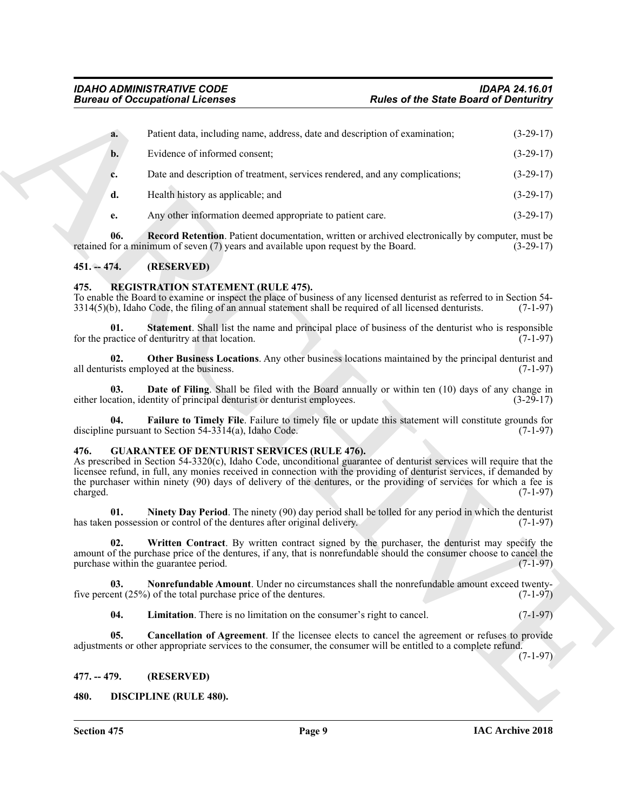| <b>Bureau of Occupational Licenses</b>                                 |                                                                                                                                                                                                                                                                                    | <b>Rules of the State Board of Denturitry</b>                                                                                                                                                                                                                                                                                                                                    |             |  |
|------------------------------------------------------------------------|------------------------------------------------------------------------------------------------------------------------------------------------------------------------------------------------------------------------------------------------------------------------------------|----------------------------------------------------------------------------------------------------------------------------------------------------------------------------------------------------------------------------------------------------------------------------------------------------------------------------------------------------------------------------------|-------------|--|
| a.                                                                     | Patient data, including name, address, date and description of examination;                                                                                                                                                                                                        |                                                                                                                                                                                                                                                                                                                                                                                  | $(3-29-17)$ |  |
| $b$ .                                                                  | Evidence of informed consent;                                                                                                                                                                                                                                                      |                                                                                                                                                                                                                                                                                                                                                                                  | $(3-29-17)$ |  |
| c.                                                                     | Date and description of treatment, services rendered, and any complications;                                                                                                                                                                                                       |                                                                                                                                                                                                                                                                                                                                                                                  | $(3-29-17)$ |  |
| d.                                                                     | Health history as applicable; and                                                                                                                                                                                                                                                  |                                                                                                                                                                                                                                                                                                                                                                                  | $(3-29-17)$ |  |
| e.                                                                     | Any other information deemed appropriate to patient care.                                                                                                                                                                                                                          |                                                                                                                                                                                                                                                                                                                                                                                  | $(3-29-17)$ |  |
| 06.                                                                    | <b>Record Retention.</b> Patient documentation, written or archived electronically by computer, must be<br>retained for a minimum of seven (7) years and available upon request by the Board.                                                                                      |                                                                                                                                                                                                                                                                                                                                                                                  | $(3-29-17)$ |  |
| $451 - 474.$                                                           | (RESERVED)                                                                                                                                                                                                                                                                         |                                                                                                                                                                                                                                                                                                                                                                                  |             |  |
| 475.                                                                   | <b>REGISTRATION STATEMENT (RULE 475).</b><br>To enable the Board to examine or inspect the place of business of any licensed denturist as referred to in Section 54-<br>$3314(5)(b)$ , Idaho Code, the filing of an annual statement shall be required of all licensed denturists. |                                                                                                                                                                                                                                                                                                                                                                                  | $(7-1-97)$  |  |
| 01.                                                                    | <b>Statement.</b> Shall list the name and principal place of business of the denturist who is responsible<br>for the practice of denturitry at that location.                                                                                                                      |                                                                                                                                                                                                                                                                                                                                                                                  | $(7-1-97)$  |  |
| 02.                                                                    | Other Business Locations. Any other business locations maintained by the principal denturist and<br>all denturists employed at the business.                                                                                                                                       |                                                                                                                                                                                                                                                                                                                                                                                  | $(7-1-97)$  |  |
| 03.                                                                    | <b>Date of Filing.</b> Shall be filed with the Board annually or within ten (10) days of any change in<br>either location, identity of principal denturist or denturist employees.                                                                                                 |                                                                                                                                                                                                                                                                                                                                                                                  | $(3-29-17)$ |  |
| 04.                                                                    | Failure to Timely File. Failure to timely file or update this statement will constitute grounds for<br>discipline pursuant to Section 54-3314(a), Idaho Code.                                                                                                                      |                                                                                                                                                                                                                                                                                                                                                                                  | $(7-1-97)$  |  |
| 476.<br><b>GUARANTEE OF DENTURIST SERVICES (RULE 476).</b><br>charged. |                                                                                                                                                                                                                                                                                    | As prescribed in Section 54-3320(c), Idaho Code, unconditional guarantee of denturist services will require that the<br>licensee refund, in full, any monies received in connection with the providing of denturist services, if demanded by<br>the purchaser within ninety (90) days of delivery of the dentures, or the providing of services for which a fee is<br>$(7-1-97)$ |             |  |
| 01.                                                                    | <b>Ninety Day Period.</b> The ninety (90) day period shall be tolled for any period in which the denturist<br>has taken possession or control of the dentures after original delivery.                                                                                             |                                                                                                                                                                                                                                                                                                                                                                                  | $(7-1-97)$  |  |
| 02.                                                                    | Written Contract. By written contract signed by the purchaser, the denturist may specify the<br>amount of the purchase price of the dentures, if any, that is nonrefundable should the consumer choose to cancel the<br>purchase within the guarantee period.                      |                                                                                                                                                                                                                                                                                                                                                                                  | $(7-1-97)$  |  |
| 03.                                                                    | Nonrefundable Amount. Under no circumstances shall the nonrefundable amount exceed twenty-<br>five percent $(25%)$ of the total purchase price of the dentures.                                                                                                                    |                                                                                                                                                                                                                                                                                                                                                                                  | $(7-1-97)$  |  |
| 04.                                                                    | Limitation. There is no limitation on the consumer's right to cancel.                                                                                                                                                                                                              |                                                                                                                                                                                                                                                                                                                                                                                  | $(7-1-97)$  |  |
| 05.                                                                    | Cancellation of Agreement. If the licensee elects to cancel the agreement or refuses to provide<br>adjustments or other appropriate services to the consumer, the consumer will be entitled to a complete refund.                                                                  |                                                                                                                                                                                                                                                                                                                                                                                  | $(7-1-97)$  |  |
| $477. - 479.$                                                          | (RESERVED)                                                                                                                                                                                                                                                                         |                                                                                                                                                                                                                                                                                                                                                                                  |             |  |
| 480.                                                                   | <b>DISCIPLINE (RULE 480).</b>                                                                                                                                                                                                                                                      |                                                                                                                                                                                                                                                                                                                                                                                  |             |  |

#### <span id="page-8-0"></span>**451. -- 474. (RESERVED)**

#### <span id="page-8-16"></span><span id="page-8-15"></span><span id="page-8-12"></span><span id="page-8-1"></span>**475. REGISTRATION STATEMENT (RULE 475).**

#### <span id="page-8-14"></span><span id="page-8-13"></span><span id="page-8-11"></span><span id="page-8-10"></span><span id="page-8-9"></span><span id="page-8-8"></span><span id="page-8-7"></span><span id="page-8-6"></span><span id="page-8-5"></span><span id="page-8-4"></span><span id="page-8-3"></span><span id="page-8-2"></span>**476. GUARANTEE OF DENTURIST SERVICES (RULE 476).**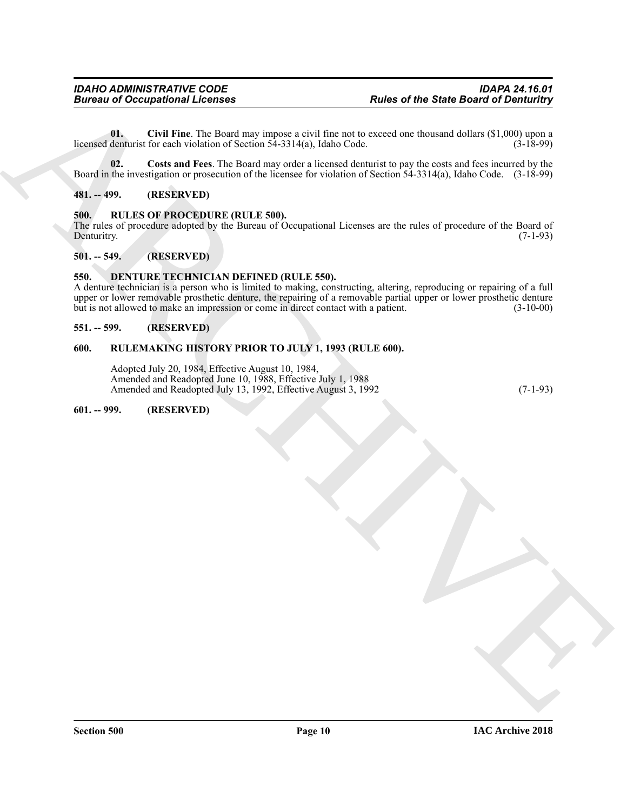<span id="page-9-8"></span>**01. Civil Fine**. The Board may impose a civil fine not to exceed one thousand dollars (\$1,000) upon a licensed denturist for each violation of Section  $54-3314(a)$ , Idaho Code. (3-18-99)

<span id="page-9-9"></span>**02. Costs and Fees**. The Board may order a licensed denturist to pay the costs and fees incurred by the Board in the investigation or prosecution of the licensee for violation of Section 54-3314(a), Idaho Code. (3-18-99)

#### <span id="page-9-0"></span>**481. -- 499. (RESERVED)**

#### <span id="page-9-10"></span><span id="page-9-1"></span>**500. RULES OF PROCEDURE (RULE 500).**

The rules of procedure adopted by the Bureau of Occupational Licenses are the rules of procedure of the Board of Denturitry. (7-1-93)

#### <span id="page-9-2"></span>**501. -- 549. (RESERVED)**

#### <span id="page-9-7"></span><span id="page-9-3"></span>**550. DENTURE TECHNICIAN DEFINED (RULE 550).**

Forces of Occupational Licenses<br>
Units (Contrast)  $\frac{1}{2}$  (Eq. 1976). The Unit of the State Board of Demonstration and the contrast of the State Board of Demonstration and the Unit of Network (West the Unit of Network ( A denture technician is a person who is limited to making, constructing, altering, reproducing or repairing of a full upper or lower removable prosthetic denture, the repairing of a removable partial upper or lower prosthetic denture but is not allowed to make an impression or come in direct contact with a patient. (3-10-00)

#### <span id="page-9-4"></span>**551. -- 599. (RESERVED)**

#### <span id="page-9-5"></span>**600. RULEMAKING HISTORY PRIOR TO JULY 1, 1993 (RULE 600).**

Adopted July 20, 1984, Effective August 10, 1984, Amended and Readopted June 10, 1988, Effective July 1, 1988 Amended and Readopted July 13, 1992, Effective August 3, 1992 (7-1-93)

#### <span id="page-9-6"></span>**601. -- 999. (RESERVED)**